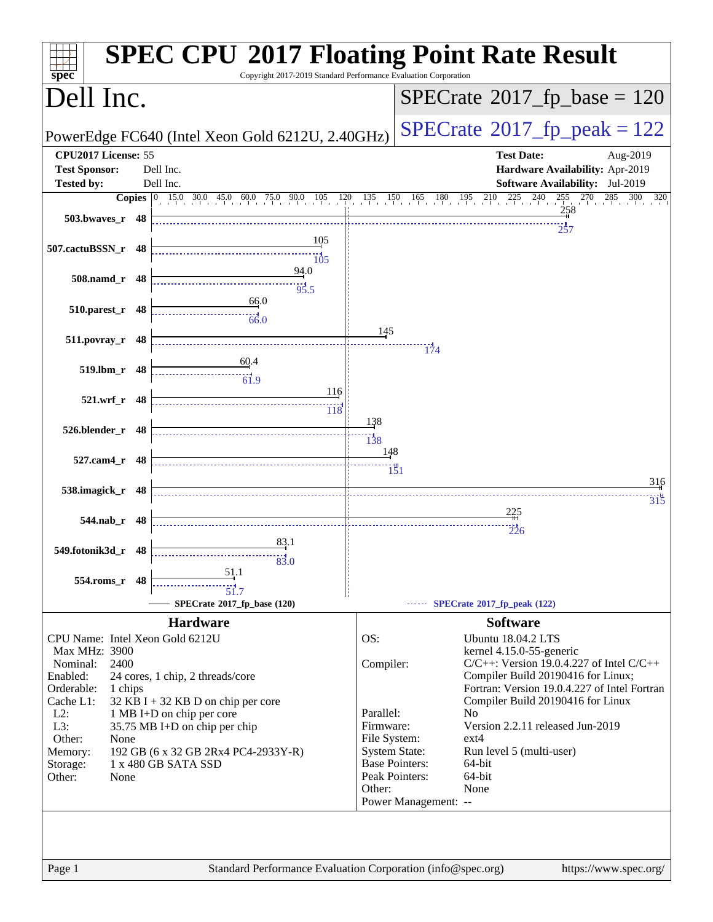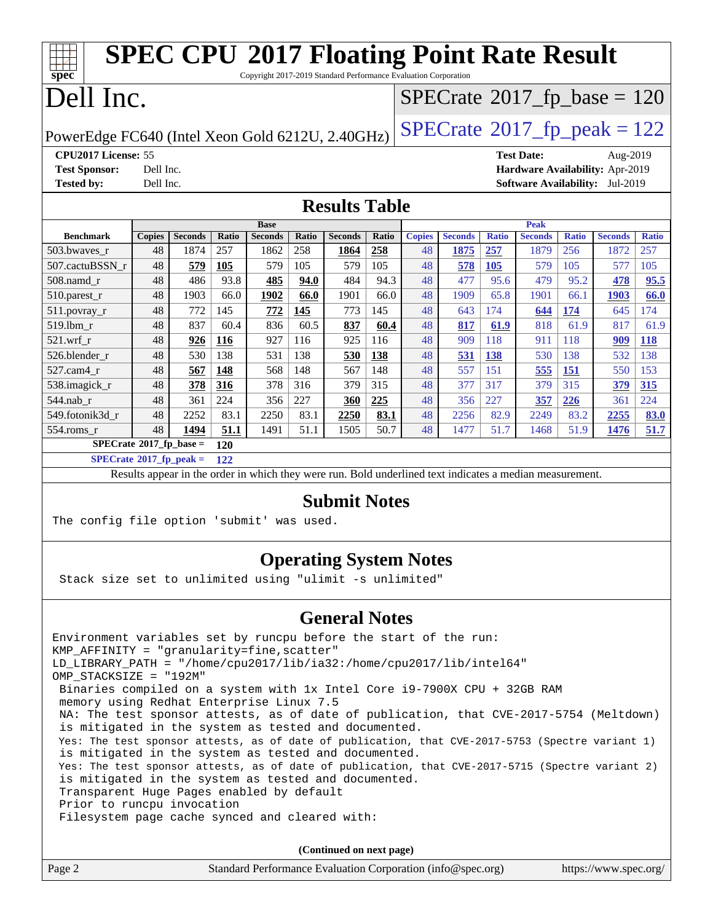| <b>SPEC CPU®2017 Floating Point Rate Result</b><br>ĦТ<br>Copyright 2017-2019 Standard Performance Evaluation Corporation<br>spec <sup>®</sup>                                                                                                                                                |                                                                                    |                |              |                               |       |                                                                                                          |       |               |                |                                            |                               |              |                                        |              |
|----------------------------------------------------------------------------------------------------------------------------------------------------------------------------------------------------------------------------------------------------------------------------------------------|------------------------------------------------------------------------------------|----------------|--------------|-------------------------------|-------|----------------------------------------------------------------------------------------------------------|-------|---------------|----------------|--------------------------------------------|-------------------------------|--------------|----------------------------------------|--------------|
| Dell Inc.                                                                                                                                                                                                                                                                                    |                                                                                    |                |              |                               |       |                                                                                                          |       |               |                | $SPECrate$ <sup>®</sup> 2017_fp_base = 120 |                               |              |                                        |              |
|                                                                                                                                                                                                                                                                                              | $SPECTate@2017_fp\_peak = 122$<br>PowerEdge FC640 (Intel Xeon Gold 6212U, 2.40GHz) |                |              |                               |       |                                                                                                          |       |               |                |                                            |                               |              |                                        |              |
| CPU2017 License: 55                                                                                                                                                                                                                                                                          |                                                                                    |                |              |                               |       |                                                                                                          |       |               |                |                                            | <b>Test Date:</b>             |              | Aug-2019                               |              |
| <b>Test Sponsor:</b>                                                                                                                                                                                                                                                                         | Dell Inc.                                                                          |                |              |                               |       |                                                                                                          |       |               |                |                                            |                               |              | Hardware Availability: Apr-2019        |              |
| <b>Tested by:</b>                                                                                                                                                                                                                                                                            | Dell Inc.                                                                          |                |              |                               |       |                                                                                                          |       |               |                |                                            |                               |              | <b>Software Availability:</b> Jul-2019 |              |
|                                                                                                                                                                                                                                                                                              |                                                                                    |                |              |                               |       |                                                                                                          |       |               |                |                                            |                               |              |                                        |              |
|                                                                                                                                                                                                                                                                                              |                                                                                    |                |              |                               |       | <b>Results Table</b>                                                                                     |       |               |                |                                            |                               |              |                                        |              |
| <b>Benchmark</b>                                                                                                                                                                                                                                                                             | <b>Copies</b>                                                                      | <b>Seconds</b> | <b>Ratio</b> | <b>Base</b><br><b>Seconds</b> | Ratio | <b>Seconds</b>                                                                                           | Ratio | <b>Copies</b> | <b>Seconds</b> | <b>Ratio</b>                               | <b>Peak</b><br><b>Seconds</b> | <b>Ratio</b> | <b>Seconds</b>                         | <b>Ratio</b> |
| 503.bwaves_r                                                                                                                                                                                                                                                                                 | 48                                                                                 | 1874           | 257          | 1862                          | 258   | 1864                                                                                                     | 258   | 48            | 1875           | 257                                        | 1879                          | 256          | 1872                                   | 257          |
| 507.cactuBSSN_r                                                                                                                                                                                                                                                                              | 48                                                                                 | 579            | 105          | 579                           | 105   | 579                                                                                                      | 105   | 48            | 578            | <b>105</b>                                 | 579                           | 105          | 577                                    | 105          |
| 508.namd r                                                                                                                                                                                                                                                                                   | 48                                                                                 | 486            | 93.8         | 485                           | 94.0  | 484                                                                                                      | 94.3  | 48            | 477            | 95.6                                       | 479                           | 95.2         | 478                                    | 95.5         |
| 510.parest_r                                                                                                                                                                                                                                                                                 | 48                                                                                 | 1903           | 66.0         | 1902                          | 66.0  | 1901                                                                                                     | 66.0  | 48            | 1909           | 65.8                                       | 1901                          | 66.1         | 1903                                   | 66.0         |
| 511.povray_r                                                                                                                                                                                                                                                                                 | 48                                                                                 | 772            | 145          | 772                           | 145   | 773                                                                                                      | 145   | 48            | 643            | 174                                        | 644                           | 174          | 645                                    | 174          |
| 519.lbm r                                                                                                                                                                                                                                                                                    | 48                                                                                 | 837            | 60.4         | 836                           | 60.5  | 837                                                                                                      | 60.4  | 48            | 817            | 61.9                                       | 818                           | 61.9         | 817                                    | 61.9         |
| $521.wrf_r$                                                                                                                                                                                                                                                                                  | 48                                                                                 | 926            | 116          | 927                           | 116   | 925                                                                                                      | 116   | 48            | 909            | 118                                        | 911                           | 118          | 909                                    | <b>118</b>   |
| 526.blender_r                                                                                                                                                                                                                                                                                | 48                                                                                 | 530            | 138          | 531                           | 138   | 530                                                                                                      | 138   | 48            | 531            | <b>138</b>                                 | 530                           | 138          | 532                                    | 138          |
| 527.cam4_r                                                                                                                                                                                                                                                                                   | 48                                                                                 | 567            | 148          | 568                           | 148   | 567                                                                                                      | 148   | 48            | 557            | 151                                        | 555                           | 151          | 550                                    | 153          |
| 538.imagick_r                                                                                                                                                                                                                                                                                | 48                                                                                 | 378            | 316          | 378                           | 316   | 379                                                                                                      | 315   | 48            | 377            | 317                                        | 379                           | 315          | 379                                    | 315          |
| 544.nab_r                                                                                                                                                                                                                                                                                    | 48                                                                                 | 361            | 224          | 356                           | 227   | 360                                                                                                      | 225   | 48            | 356            | 227                                        | 357                           | 226          | 361                                    | 224          |
| 549.fotonik3d_r                                                                                                                                                                                                                                                                              | 48                                                                                 | 2252           | 83.1         | 2250                          | 83.1  | 2250                                                                                                     | 83.1  | 48            | 2256           | 82.9                                       | 2249                          | 83.2         | 2255                                   | <b>83.0</b>  |
| 554.roms_r                                                                                                                                                                                                                                                                                   | 48                                                                                 | 1494           | 51.1         | 1491                          | 51.1  | 1505                                                                                                     | 50.7  | 48            | 1477           | 51.7                                       | 1468                          | 51.9         | 1476                                   | 51.7         |
| $SPECrate$ <sup>®</sup> 2017_fp_base =                                                                                                                                                                                                                                                       |                                                                                    |                | 120          |                               |       |                                                                                                          |       |               |                |                                            |                               |              |                                        |              |
| $SPECrate*2017_fp\_peak =$                                                                                                                                                                                                                                                                   |                                                                                    |                | 122          |                               |       |                                                                                                          |       |               |                |                                            |                               |              |                                        |              |
|                                                                                                                                                                                                                                                                                              |                                                                                    |                |              |                               |       | Results appear in the order in which they were run. Bold underlined text indicates a median measurement. |       |               |                |                                            |                               |              |                                        |              |
| <b>Submit Notes</b><br>The config file option 'submit' was used.                                                                                                                                                                                                                             |                                                                                    |                |              |                               |       |                                                                                                          |       |               |                |                                            |                               |              |                                        |              |
| Stack size set to unlimited using "ulimit -s unlimited"                                                                                                                                                                                                                                      |                                                                                    |                |              |                               |       | <b>Operating System Notes</b>                                                                            |       |               |                |                                            |                               |              |                                        |              |
|                                                                                                                                                                                                                                                                                              |                                                                                    |                |              |                               |       | <b>General Notes</b>                                                                                     |       |               |                |                                            |                               |              |                                        |              |
|                                                                                                                                                                                                                                                                                              |                                                                                    |                |              |                               |       |                                                                                                          |       |               |                |                                            |                               |              |                                        |              |
| Environment variables set by runcpu before the start of the run:<br>KMP_AFFINITY = "granularity=fine, scatter"<br>LD_LIBRARY_PATH = "/home/cpu2017/lib/ia32:/home/cpu2017/lib/intel64"<br>OMP_STACKSIZE = "192M"<br>Binaries compiled on a system with 1x Intel Core i9-7900X CPU + 32GB RAM |                                                                                    |                |              |                               |       |                                                                                                          |       |               |                |                                            |                               |              |                                        |              |
| memory using Redhat Enterprise Linux 7.5<br>NA: The test sponsor attests, as of date of publication, that CVE-2017-5754 (Meltdown)<br>is mitigated in the system as tested and documented.                                                                                                   |                                                                                    |                |              |                               |       |                                                                                                          |       |               |                |                                            |                               |              |                                        |              |
| Yes: The test sponsor attests, as of date of publication, that CVE-2017-5753 (Spectre variant 1)<br>is mitigated in the system as tested and documented.<br>Yes: The test sponsor attests, as of date of publication, that CVE-2017-5715 (Spectre variant 2)                                 |                                                                                    |                |              |                               |       |                                                                                                          |       |               |                |                                            |                               |              |                                        |              |
| is mitigated in the system as tested and documented.<br>Transparent Huge Pages enabled by default<br>Prior to runcpu invocation                                                                                                                                                              |                                                                                    |                |              |                               |       |                                                                                                          |       |               |                |                                            |                               |              |                                        |              |
| Filesystem page cache synced and cleared with:<br>(Continued on next page)                                                                                                                                                                                                                   |                                                                                    |                |              |                               |       |                                                                                                          |       |               |                |                                            |                               |              |                                        |              |
|                                                                                                                                                                                                                                                                                              |                                                                                    |                |              |                               |       |                                                                                                          |       |               |                |                                            |                               |              |                                        |              |
| Page 2                                                                                                                                                                                                                                                                                       |                                                                                    |                |              |                               |       | Standard Performance Evaluation Corporation (info@spec.org)                                              |       |               |                |                                            |                               |              | https://www.spec.org/                  |              |
|                                                                                                                                                                                                                                                                                              |                                                                                    |                |              |                               |       |                                                                                                          |       |               |                |                                            |                               |              |                                        |              |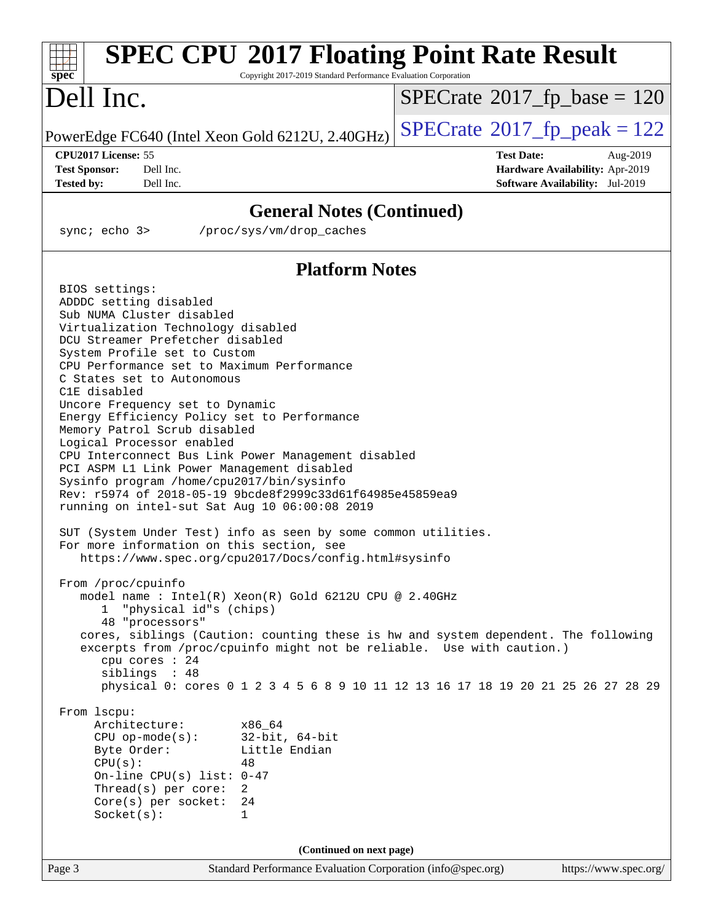| <b>SPEC CPU®2017 Floating Point Rate Result</b><br>Copyright 2017-2019 Standard Performance Evaluation Corporation<br>spec <sup>®</sup>                                                                                                                                                                                                                                                                                                                                                                                                                                                                                                                                                                                                                                                                                                                                                                                                                                                                                                                                                                                                                                                                                                                                                                                                                                                                                                                                                                                                |                                                                                                            |
|----------------------------------------------------------------------------------------------------------------------------------------------------------------------------------------------------------------------------------------------------------------------------------------------------------------------------------------------------------------------------------------------------------------------------------------------------------------------------------------------------------------------------------------------------------------------------------------------------------------------------------------------------------------------------------------------------------------------------------------------------------------------------------------------------------------------------------------------------------------------------------------------------------------------------------------------------------------------------------------------------------------------------------------------------------------------------------------------------------------------------------------------------------------------------------------------------------------------------------------------------------------------------------------------------------------------------------------------------------------------------------------------------------------------------------------------------------------------------------------------------------------------------------------|------------------------------------------------------------------------------------------------------------|
| Dell Inc.                                                                                                                                                                                                                                                                                                                                                                                                                                                                                                                                                                                                                                                                                                                                                                                                                                                                                                                                                                                                                                                                                                                                                                                                                                                                                                                                                                                                                                                                                                                              | $SPECrate^{\circ}2017$ fp base = 120                                                                       |
| PowerEdge FC640 (Intel Xeon Gold 6212U, 2.40GHz)                                                                                                                                                                                                                                                                                                                                                                                                                                                                                                                                                                                                                                                                                                                                                                                                                                                                                                                                                                                                                                                                                                                                                                                                                                                                                                                                                                                                                                                                                       | $SPECTate$ <sup>®</sup> 2017_fp_peak = 122                                                                 |
| CPU2017 License: 55<br><b>Test Sponsor:</b><br>Dell Inc.<br>Dell Inc.<br><b>Tested by:</b>                                                                                                                                                                                                                                                                                                                                                                                                                                                                                                                                                                                                                                                                                                                                                                                                                                                                                                                                                                                                                                                                                                                                                                                                                                                                                                                                                                                                                                             | <b>Test Date:</b><br>Aug-2019<br>Hardware Availability: Apr-2019<br><b>Software Availability:</b> Jul-2019 |
| <b>General Notes (Continued)</b>                                                                                                                                                                                                                                                                                                                                                                                                                                                                                                                                                                                                                                                                                                                                                                                                                                                                                                                                                                                                                                                                                                                                                                                                                                                                                                                                                                                                                                                                                                       |                                                                                                            |
| sync $i$ echo $3$<br>/proc/sys/vm/drop caches                                                                                                                                                                                                                                                                                                                                                                                                                                                                                                                                                                                                                                                                                                                                                                                                                                                                                                                                                                                                                                                                                                                                                                                                                                                                                                                                                                                                                                                                                          |                                                                                                            |
| <b>Platform Notes</b>                                                                                                                                                                                                                                                                                                                                                                                                                                                                                                                                                                                                                                                                                                                                                                                                                                                                                                                                                                                                                                                                                                                                                                                                                                                                                                                                                                                                                                                                                                                  |                                                                                                            |
| BIOS settings:<br>ADDDC setting disabled<br>Sub NUMA Cluster disabled<br>Virtualization Technology disabled<br>DCU Streamer Prefetcher disabled<br>System Profile set to Custom<br>CPU Performance set to Maximum Performance<br>C States set to Autonomous<br>C1E disabled<br>Uncore Frequency set to Dynamic<br>Energy Efficiency Policy set to Performance<br>Memory Patrol Scrub disabled<br>Logical Processor enabled<br>CPU Interconnect Bus Link Power Management disabled<br>PCI ASPM L1 Link Power Management disabled<br>Sysinfo program /home/cpu2017/bin/sysinfo<br>Rev: r5974 of 2018-05-19 9bcde8f2999c33d61f64985e45859ea9<br>running on intel-sut Sat Aug 10 06:00:08 2019<br>SUT (System Under Test) info as seen by some common utilities.<br>For more information on this section, see<br>https://www.spec.org/cpu2017/Docs/config.html#sysinfo<br>From /proc/cpuinfo<br>model name : Intel(R) Xeon(R) Gold 6212U CPU @ 2.40GHz<br>"physical id"s (chips)<br>48 "processors"<br>cores, siblings (Caution: counting these is hw and system dependent. The following<br>excerpts from /proc/cpuinfo might not be reliable. Use with caution.)<br>cpu cores : 24<br>siblings : 48<br>physical 0: cores 0 1 2 3 4 5 6 8 9 10 11 12 13 16 17 18 19 20 21 25 26 27 28 29<br>From 1scpu:<br>Architecture:<br>x86 64<br>32-bit, 64-bit<br>$CPU$ op-mode(s):<br>Little Endian<br>Byte Order:<br>CPU(s):<br>48<br>On-line CPU(s) list: $0-47$<br>$Thread(s)$ per core:<br>2<br>$Core(s)$ per socket:<br>24<br>Socket(s):<br>1 |                                                                                                            |
| (Continued on next page)                                                                                                                                                                                                                                                                                                                                                                                                                                                                                                                                                                                                                                                                                                                                                                                                                                                                                                                                                                                                                                                                                                                                                                                                                                                                                                                                                                                                                                                                                                               |                                                                                                            |
| Page 3<br>Standard Performance Evaluation Corporation (info@spec.org)                                                                                                                                                                                                                                                                                                                                                                                                                                                                                                                                                                                                                                                                                                                                                                                                                                                                                                                                                                                                                                                                                                                                                                                                                                                                                                                                                                                                                                                                  | https://www.spec.org/                                                                                      |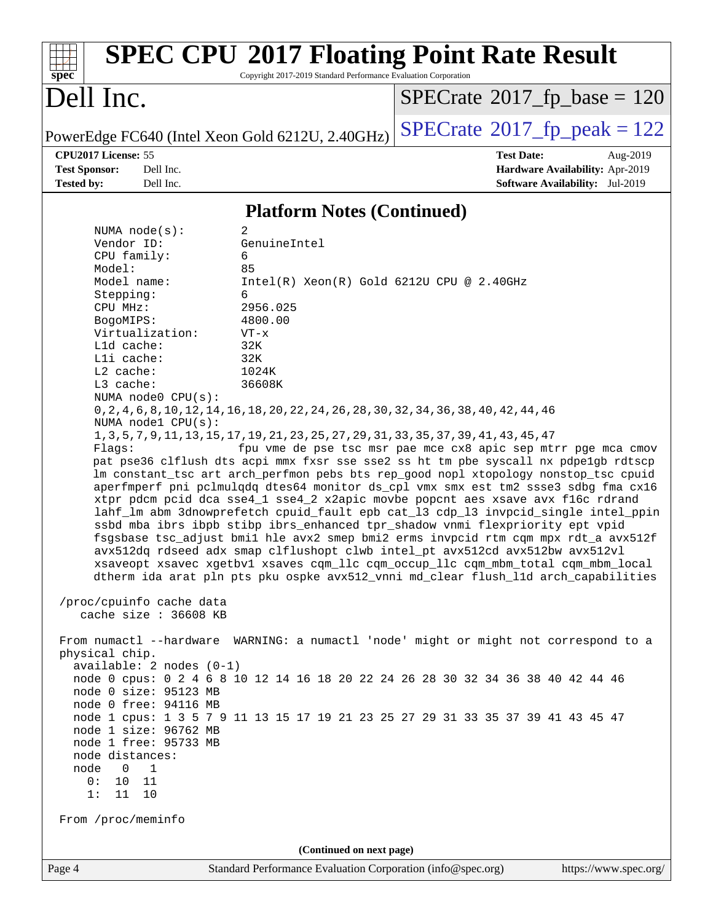| spec <sup>®</sup>                                                                                                                                                                                                                                                                                                                                                                                                                                                                                                                                                           | Copyright 2017-2019 Standard Performance Evaluation Corporation                                                                                      | <b>SPEC CPU®2017 Floating Point Rate Result</b>                                                                                                                                                                                                                                                                                                                                                                                                                                                                                                                                                                                                                                                                                                                                                                                                                                                                                                                                                                                                                                                                                                                                                                                                                                                                                                                                                  |
|-----------------------------------------------------------------------------------------------------------------------------------------------------------------------------------------------------------------------------------------------------------------------------------------------------------------------------------------------------------------------------------------------------------------------------------------------------------------------------------------------------------------------------------------------------------------------------|------------------------------------------------------------------------------------------------------------------------------------------------------|--------------------------------------------------------------------------------------------------------------------------------------------------------------------------------------------------------------------------------------------------------------------------------------------------------------------------------------------------------------------------------------------------------------------------------------------------------------------------------------------------------------------------------------------------------------------------------------------------------------------------------------------------------------------------------------------------------------------------------------------------------------------------------------------------------------------------------------------------------------------------------------------------------------------------------------------------------------------------------------------------------------------------------------------------------------------------------------------------------------------------------------------------------------------------------------------------------------------------------------------------------------------------------------------------------------------------------------------------------------------------------------------------|
| Dell Inc.                                                                                                                                                                                                                                                                                                                                                                                                                                                                                                                                                                   |                                                                                                                                                      | $SPECrate^{\circ}2017$ fp base = 120                                                                                                                                                                                                                                                                                                                                                                                                                                                                                                                                                                                                                                                                                                                                                                                                                                                                                                                                                                                                                                                                                                                                                                                                                                                                                                                                                             |
| PowerEdge FC640 (Intel Xeon Gold 6212U, 2.40GHz)                                                                                                                                                                                                                                                                                                                                                                                                                                                                                                                            |                                                                                                                                                      | $SPECrate^{\circ}2017$ fp peak = 122                                                                                                                                                                                                                                                                                                                                                                                                                                                                                                                                                                                                                                                                                                                                                                                                                                                                                                                                                                                                                                                                                                                                                                                                                                                                                                                                                             |
| CPU2017 License: 55                                                                                                                                                                                                                                                                                                                                                                                                                                                                                                                                                         |                                                                                                                                                      | <b>Test Date:</b><br>Aug-2019                                                                                                                                                                                                                                                                                                                                                                                                                                                                                                                                                                                                                                                                                                                                                                                                                                                                                                                                                                                                                                                                                                                                                                                                                                                                                                                                                                    |
| <b>Test Sponsor:</b><br>Dell Inc.<br><b>Tested by:</b><br>Dell Inc.                                                                                                                                                                                                                                                                                                                                                                                                                                                                                                         |                                                                                                                                                      | Hardware Availability: Apr-2019<br>Software Availability: Jul-2019                                                                                                                                                                                                                                                                                                                                                                                                                                                                                                                                                                                                                                                                                                                                                                                                                                                                                                                                                                                                                                                                                                                                                                                                                                                                                                                               |
|                                                                                                                                                                                                                                                                                                                                                                                                                                                                                                                                                                             | <b>Platform Notes (Continued)</b>                                                                                                                    |                                                                                                                                                                                                                                                                                                                                                                                                                                                                                                                                                                                                                                                                                                                                                                                                                                                                                                                                                                                                                                                                                                                                                                                                                                                                                                                                                                                                  |
| NUMA $node(s)$ :<br>Vendor ID:<br>CPU family:<br>Model:<br>Model name:<br>Stepping:<br>CPU MHz:<br>BogoMIPS:<br>Virtualization:<br>Lld cache:<br>Lli cache:<br>L2 cache:<br>L3 cache:<br>NUMA node0 CPU(s):<br>NUMA nodel CPU(s):<br>Flaqs:<br>/proc/cpuinfo cache data<br>cache size : 36608 KB<br>physical chip.<br>$available: 2 nodes (0-1)$<br>node 0 size: 95123 MB<br>node 0 free: 94116 MB<br>node 1 size: 96762 MB<br>node 1 free: 95733 MB<br>node distances:<br>$\overline{0}$<br>node<br>$\overline{1}$<br>0 :<br>10<br>11<br>1:<br>11 10<br>From /proc/meminfo | 2<br>GenuineIntel<br>6<br>85<br>$Intel(R) Xeon(R) Gold 6212U CPU @ 2.40GHz$<br>6<br>2956.025<br>4800.00<br>$VT - x$<br>32K<br>32K<br>1024K<br>36608K | 0, 2, 4, 6, 8, 10, 12, 14, 16, 18, 20, 22, 24, 26, 28, 30, 32, 34, 36, 38, 40, 42, 44, 46<br>1, 3, 5, 7, 9, 11, 13, 15, 17, 19, 21, 23, 25, 27, 29, 31, 33, 35, 37, 39, 41, 43, 45, 47<br>fpu vme de pse tsc msr pae mce cx8 apic sep mtrr pge mca cmov<br>pat pse36 clflush dts acpi mmx fxsr sse sse2 ss ht tm pbe syscall nx pdpelgb rdtscp<br>lm constant_tsc art arch_perfmon pebs bts rep_good nopl xtopology nonstop_tsc cpuid<br>aperfmperf pni pclmulqdq dtes64 monitor ds_cpl vmx smx est tm2 ssse3 sdbg fma cx16<br>xtpr pdcm pcid dca sse4_1 sse4_2 x2apic movbe popcnt aes xsave avx f16c rdrand<br>lahf_lm abm 3dnowprefetch cpuid_fault epb cat_13 cdp_13 invpcid_single intel_ppin<br>ssbd mba ibrs ibpb stibp ibrs_enhanced tpr_shadow vnmi flexpriority ept vpid<br>fsgsbase tsc_adjust bmil hle avx2 smep bmi2 erms invpcid rtm cqm mpx rdt_a avx512f<br>avx512dq rdseed adx smap clflushopt clwb intel_pt avx512cd avx512bw avx512vl<br>xsaveopt xsavec xgetbvl xsaves cqm_llc cqm_occup_llc cqm_mbm_total cqm_mbm_local<br>dtherm ida arat pln pts pku ospke avx512_vnni md_clear flush_lld arch_capabilities<br>From numactl --hardware WARNING: a numactl 'node' might or might not correspond to a<br>node 0 cpus: 0 2 4 6 8 10 12 14 16 18 20 22 24 26 28 30 32 34 36 38 40 42 44 46<br>node 1 cpus: 1 3 5 7 9 11 13 15 17 19 21 23 25 27 29 31 33 35 37 39 41 43 45 47 |
| Page 4                                                                                                                                                                                                                                                                                                                                                                                                                                                                                                                                                                      | (Continued on next page)<br>Standard Performance Evaluation Corporation (info@spec.org)                                                              | https://www.spec.org/                                                                                                                                                                                                                                                                                                                                                                                                                                                                                                                                                                                                                                                                                                                                                                                                                                                                                                                                                                                                                                                                                                                                                                                                                                                                                                                                                                            |
|                                                                                                                                                                                                                                                                                                                                                                                                                                                                                                                                                                             |                                                                                                                                                      |                                                                                                                                                                                                                                                                                                                                                                                                                                                                                                                                                                                                                                                                                                                                                                                                                                                                                                                                                                                                                                                                                                                                                                                                                                                                                                                                                                                                  |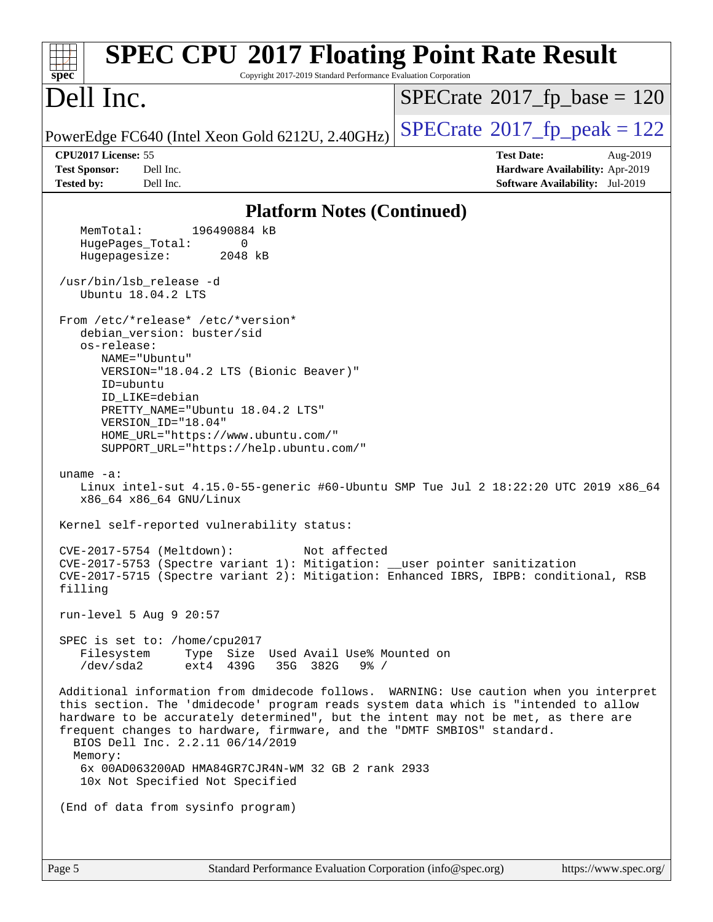| <b>SPEC CPU®2017 Floating Point Rate Result</b><br>Copyright 2017-2019 Standard Performance Evaluation Corporation<br>$spec^*$                                                                                                                                                                                                                                                                                                                                                         |                                                                           |
|----------------------------------------------------------------------------------------------------------------------------------------------------------------------------------------------------------------------------------------------------------------------------------------------------------------------------------------------------------------------------------------------------------------------------------------------------------------------------------------|---------------------------------------------------------------------------|
| Dell Inc.                                                                                                                                                                                                                                                                                                                                                                                                                                                                              | $SPECTate@2017_fp\_base = 120$                                            |
| PowerEdge FC640 (Intel Xeon Gold 6212U, 2.40GHz)                                                                                                                                                                                                                                                                                                                                                                                                                                       | $SPECrate^{\circ}2017$ _fp_peak = 122                                     |
| CPU2017 License: 55                                                                                                                                                                                                                                                                                                                                                                                                                                                                    | <b>Test Date:</b><br>Aug-2019                                             |
| <b>Test Sponsor:</b><br>Dell Inc.<br><b>Tested by:</b><br>Dell Inc.                                                                                                                                                                                                                                                                                                                                                                                                                    | Hardware Availability: Apr-2019<br><b>Software Availability:</b> Jul-2019 |
|                                                                                                                                                                                                                                                                                                                                                                                                                                                                                        |                                                                           |
| <b>Platform Notes (Continued)</b><br>MemTotal:<br>196490884 kB                                                                                                                                                                                                                                                                                                                                                                                                                         |                                                                           |
| HugePages_Total:<br>0                                                                                                                                                                                                                                                                                                                                                                                                                                                                  |                                                                           |
| Hugepagesize:<br>2048 kB                                                                                                                                                                                                                                                                                                                                                                                                                                                               |                                                                           |
| /usr/bin/lsb_release -d<br>Ubuntu 18.04.2 LTS                                                                                                                                                                                                                                                                                                                                                                                                                                          |                                                                           |
| From /etc/*release* /etc/*version*<br>debian_version: buster/sid<br>os-release:<br>NAME="Ubuntu"<br>VERSION="18.04.2 LTS (Bionic Beaver)"<br>ID=ubuntu<br>ID_LIKE=debian<br>PRETTY_NAME="Ubuntu 18.04.2 LTS"<br>VERSION_ID="18.04"<br>HOME_URL="https://www.ubuntu.com/"<br>SUPPORT_URL="https://help.ubuntu.com/"                                                                                                                                                                     |                                                                           |
| uname $-a$ :<br>Linux intel-sut 4.15.0-55-generic #60-Ubuntu SMP Tue Jul 2 18:22:20 UTC 2019 x86_64<br>x86_64 x86_64 GNU/Linux                                                                                                                                                                                                                                                                                                                                                         |                                                                           |
| Kernel self-reported vulnerability status:                                                                                                                                                                                                                                                                                                                                                                                                                                             |                                                                           |
| $CVE-2017-5754$ (Meltdown):<br>Not affected<br>CVE-2017-5753 (Spectre variant 1): Mitigation: __user pointer sanitization<br>CVE-2017-5715 (Spectre variant 2): Mitigation: Enhanced IBRS, IBPB: conditional, RSB<br>filling                                                                                                                                                                                                                                                           |                                                                           |
| run-level 5 Aug 9 20:57                                                                                                                                                                                                                                                                                                                                                                                                                                                                |                                                                           |
| SPEC is set to: /home/cpu2017<br>Type Size Used Avail Use% Mounted on<br>Filesystem<br>/dev/sda2<br>ext4 439G<br>35G 382G<br>$9\frac{6}{6}$ /                                                                                                                                                                                                                                                                                                                                          |                                                                           |
| Additional information from dmidecode follows. WARNING: Use caution when you interpret<br>this section. The 'dmidecode' program reads system data which is "intended to allow<br>hardware to be accurately determined", but the intent may not be met, as there are<br>frequent changes to hardware, firmware, and the "DMTF SMBIOS" standard.<br>BIOS Dell Inc. 2.2.11 06/14/2019<br>Memory:<br>6x 00AD063200AD HMA84GR7CJR4N-WM 32 GB 2 rank 2933<br>10x Not Specified Not Specified |                                                                           |
| (End of data from sysinfo program)                                                                                                                                                                                                                                                                                                                                                                                                                                                     |                                                                           |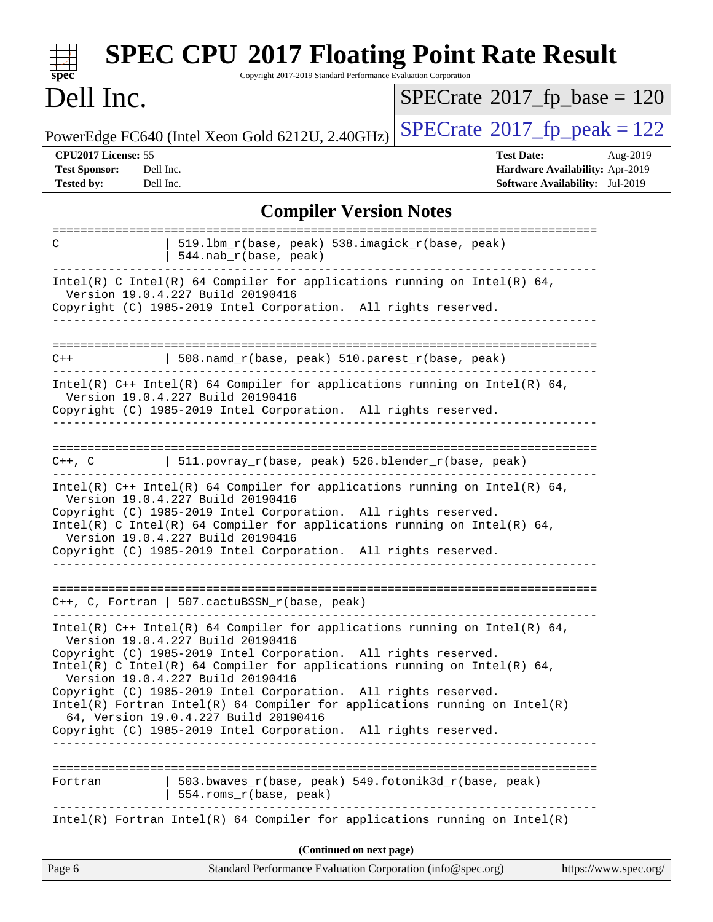| spec <sup>®</sup>                                                | <b>SPEC CPU®2017 Floating Point Rate Result</b><br>Copyright 2017-2019 Standard Performance Evaluation Corporation                                                                                                                                                                                                                                                                                                                                                                                                                                                   |                                            |                                                                                              |
|------------------------------------------------------------------|----------------------------------------------------------------------------------------------------------------------------------------------------------------------------------------------------------------------------------------------------------------------------------------------------------------------------------------------------------------------------------------------------------------------------------------------------------------------------------------------------------------------------------------------------------------------|--------------------------------------------|----------------------------------------------------------------------------------------------|
| Dell Inc.                                                        |                                                                                                                                                                                                                                                                                                                                                                                                                                                                                                                                                                      | $SPECrate$ <sup>®</sup> 2017_fp_base = 120 |                                                                                              |
|                                                                  | PowerEdge FC640 (Intel Xeon Gold 6212U, 2.40GHz)                                                                                                                                                                                                                                                                                                                                                                                                                                                                                                                     | $SPECrate$ <sup>®</sup> 2017_fp_peak = 122 |                                                                                              |
| CPU2017 License: 55<br><b>Test Sponsor:</b><br><b>Tested by:</b> | Dell Inc.<br>Dell Inc.                                                                                                                                                                                                                                                                                                                                                                                                                                                                                                                                               | <b>Test Date:</b>                          | Aug-2019<br><b>Hardware Availability: Apr-2019</b><br><b>Software Availability:</b> Jul-2019 |
|                                                                  | <b>Compiler Version Notes</b>                                                                                                                                                                                                                                                                                                                                                                                                                                                                                                                                        |                                            |                                                                                              |
| C                                                                | 519.1bm_r(base, peak) 538.imagick_r(base, peak)<br>544.nab_r(base, peak)                                                                                                                                                                                                                                                                                                                                                                                                                                                                                             | ======================                     |                                                                                              |
|                                                                  | Intel(R) C Intel(R) 64 Compiler for applications running on Intel(R) 64,<br>Version 19.0.4.227 Build 20190416<br>Copyright (C) 1985-2019 Intel Corporation. All rights reserved.                                                                                                                                                                                                                                                                                                                                                                                     |                                            |                                                                                              |
| $C++$                                                            | 508.namd_r(base, peak) 510.parest_r(base, peak)                                                                                                                                                                                                                                                                                                                                                                                                                                                                                                                      |                                            |                                                                                              |
|                                                                  | Intel(R) $C++$ Intel(R) 64 Compiler for applications running on Intel(R) 64,<br>Version 19.0.4.227 Build 20190416<br>Copyright (C) 1985-2019 Intel Corporation. All rights reserved.                                                                                                                                                                                                                                                                                                                                                                                 |                                            |                                                                                              |
| ==========================<br>$C++$ , $C$                        | 511.povray_r(base, peak) 526.blender_r(base, peak)                                                                                                                                                                                                                                                                                                                                                                                                                                                                                                                   |                                            |                                                                                              |
|                                                                  | Intel(R) C++ Intel(R) 64 Compiler for applications running on Intel(R) 64,<br>Version 19.0.4.227 Build 20190416<br>Copyright (C) 1985-2019 Intel Corporation. All rights reserved.<br>Intel(R) C Intel(R) 64 Compiler for applications running on Intel(R) 64,<br>Version 19.0.4.227 Build 20190416<br>Copyright (C) 1985-2019 Intel Corporation. All rights reserved.                                                                                                                                                                                               |                                            |                                                                                              |
|                                                                  | C++, C, Fortran   507.cactuBSSN_r(base, peak)                                                                                                                                                                                                                                                                                                                                                                                                                                                                                                                        |                                            |                                                                                              |
|                                                                  | Intel(R) $C++$ Intel(R) 64 Compiler for applications running on Intel(R) 64,<br>Version 19.0.4.227 Build 20190416<br>Copyright (C) 1985-2019 Intel Corporation. All rights reserved.<br>Intel(R) C Intel(R) 64 Compiler for applications running on Intel(R) 64,<br>Version 19.0.4.227 Build 20190416<br>Copyright (C) 1985-2019 Intel Corporation. All rights reserved.<br>$Intel(R)$ Fortran Intel(R) 64 Compiler for applications running on Intel(R)<br>64, Version 19.0.4.227 Build 20190416<br>Copyright (C) 1985-2019 Intel Corporation. All rights reserved. |                                            |                                                                                              |
| Fortran                                                          | 503.bwaves_r(base, peak) 549.fotonik3d_r(base, peak)<br>554.roms_r(base, peak)                                                                                                                                                                                                                                                                                                                                                                                                                                                                                       |                                            |                                                                                              |
|                                                                  | $Intel(R)$ Fortran Intel(R) 64 Compiler for applications running on Intel(R)                                                                                                                                                                                                                                                                                                                                                                                                                                                                                         |                                            |                                                                                              |
| Page 6                                                           | (Continued on next page)<br>Standard Performance Evaluation Corporation (info@spec.org)                                                                                                                                                                                                                                                                                                                                                                                                                                                                              |                                            | https://www.spec.org/                                                                        |
|                                                                  |                                                                                                                                                                                                                                                                                                                                                                                                                                                                                                                                                                      |                                            |                                                                                              |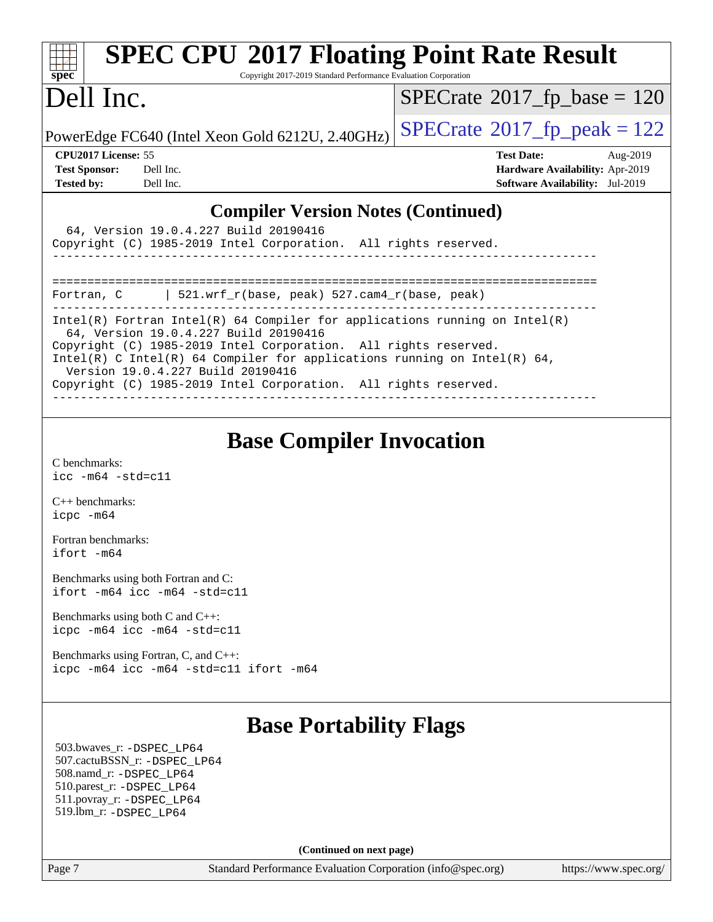| spec <sup>®</sup>                                                                                                                                     | <b>SPEC CPU®2017 Floating Point Rate Result</b><br>Copyright 2017-2019 Standard Performance Evaluation Corporation                                                                                                                                                              |                                                                                                                   |  |  |  |
|-------------------------------------------------------------------------------------------------------------------------------------------------------|---------------------------------------------------------------------------------------------------------------------------------------------------------------------------------------------------------------------------------------------------------------------------------|-------------------------------------------------------------------------------------------------------------------|--|--|--|
| Dell Inc.                                                                                                                                             |                                                                                                                                                                                                                                                                                 | $SPECrate$ <sup>®</sup> 2017_fp_base = 120                                                                        |  |  |  |
|                                                                                                                                                       | PowerEdge FC640 (Intel Xeon Gold 6212U, 2.40GHz)                                                                                                                                                                                                                                | $SPECTate@2017_fp\_peak = 122$                                                                                    |  |  |  |
| CPU2017 License: 55<br><b>Test Sponsor:</b><br><b>Tested by:</b>                                                                                      | Dell Inc.<br>Dell Inc.                                                                                                                                                                                                                                                          | <b>Test Date:</b><br>Aug-2019<br><b>Hardware Availability: Apr-2019</b><br><b>Software Availability:</b> Jul-2019 |  |  |  |
| <b>Compiler Version Notes (Continued)</b><br>64, Version 19.0.4.227 Build 20190416<br>Copyright (C) 1985-2019 Intel Corporation. All rights reserved. |                                                                                                                                                                                                                                                                                 |                                                                                                                   |  |  |  |
| Fortran, C                                                                                                                                            | 521.wrf_r(base, peak) 527.cam4_r(base, peak)                                                                                                                                                                                                                                    |                                                                                                                   |  |  |  |
|                                                                                                                                                       | $Intel(R)$ Fortran Intel(R) 64 Compiler for applications running on Intel(R)<br>64, Version 19.0.4.227 Build 20190416<br>Copyright (C) 1985-2019 Intel Corporation. All rights reserved.<br>$Intol(D)$ $C$ $Intol(D)$ 6.4 $Compilor$ for applications running on $Intol(D)$ 6.4 |                                                                                                                   |  |  |  |

ntel(R) C Intel(R) 64 Compiler for applications running on  $Intel(R) 64$ , Version 19.0.4.227 Build 20190416

Copyright (C) 1985-2019 Intel Corporation. All rights reserved.

# **[Base Compiler Invocation](http://www.spec.org/auto/cpu2017/Docs/result-fields.html#BaseCompilerInvocation)**

------------------------------------------------------------------------------

[C benchmarks](http://www.spec.org/auto/cpu2017/Docs/result-fields.html#Cbenchmarks): [icc -m64 -std=c11](http://www.spec.org/cpu2017/results/res2019q3/cpu2017-20190819-16942.flags.html#user_CCbase_intel_icc_64bit_c11_33ee0cdaae7deeeab2a9725423ba97205ce30f63b9926c2519791662299b76a0318f32ddfffdc46587804de3178b4f9328c46fa7c2b0cd779d7a61945c91cd35)

[C++ benchmarks:](http://www.spec.org/auto/cpu2017/Docs/result-fields.html#CXXbenchmarks) [icpc -m64](http://www.spec.org/cpu2017/results/res2019q3/cpu2017-20190819-16942.flags.html#user_CXXbase_intel_icpc_64bit_4ecb2543ae3f1412ef961e0650ca070fec7b7afdcd6ed48761b84423119d1bf6bdf5cad15b44d48e7256388bc77273b966e5eb805aefd121eb22e9299b2ec9d9)

[Fortran benchmarks](http://www.spec.org/auto/cpu2017/Docs/result-fields.html#Fortranbenchmarks): [ifort -m64](http://www.spec.org/cpu2017/results/res2019q3/cpu2017-20190819-16942.flags.html#user_FCbase_intel_ifort_64bit_24f2bb282fbaeffd6157abe4f878425411749daecae9a33200eee2bee2fe76f3b89351d69a8130dd5949958ce389cf37ff59a95e7a40d588e8d3a57e0c3fd751)

[Benchmarks using both Fortran and C](http://www.spec.org/auto/cpu2017/Docs/result-fields.html#BenchmarksusingbothFortranandC): [ifort -m64](http://www.spec.org/cpu2017/results/res2019q3/cpu2017-20190819-16942.flags.html#user_CC_FCbase_intel_ifort_64bit_24f2bb282fbaeffd6157abe4f878425411749daecae9a33200eee2bee2fe76f3b89351d69a8130dd5949958ce389cf37ff59a95e7a40d588e8d3a57e0c3fd751) [icc -m64 -std=c11](http://www.spec.org/cpu2017/results/res2019q3/cpu2017-20190819-16942.flags.html#user_CC_FCbase_intel_icc_64bit_c11_33ee0cdaae7deeeab2a9725423ba97205ce30f63b9926c2519791662299b76a0318f32ddfffdc46587804de3178b4f9328c46fa7c2b0cd779d7a61945c91cd35)

[Benchmarks using both C and C++](http://www.spec.org/auto/cpu2017/Docs/result-fields.html#BenchmarksusingbothCandCXX): [icpc -m64](http://www.spec.org/cpu2017/results/res2019q3/cpu2017-20190819-16942.flags.html#user_CC_CXXbase_intel_icpc_64bit_4ecb2543ae3f1412ef961e0650ca070fec7b7afdcd6ed48761b84423119d1bf6bdf5cad15b44d48e7256388bc77273b966e5eb805aefd121eb22e9299b2ec9d9) [icc -m64 -std=c11](http://www.spec.org/cpu2017/results/res2019q3/cpu2017-20190819-16942.flags.html#user_CC_CXXbase_intel_icc_64bit_c11_33ee0cdaae7deeeab2a9725423ba97205ce30f63b9926c2519791662299b76a0318f32ddfffdc46587804de3178b4f9328c46fa7c2b0cd779d7a61945c91cd35)

[Benchmarks using Fortran, C, and C++:](http://www.spec.org/auto/cpu2017/Docs/result-fields.html#BenchmarksusingFortranCandCXX) [icpc -m64](http://www.spec.org/cpu2017/results/res2019q3/cpu2017-20190819-16942.flags.html#user_CC_CXX_FCbase_intel_icpc_64bit_4ecb2543ae3f1412ef961e0650ca070fec7b7afdcd6ed48761b84423119d1bf6bdf5cad15b44d48e7256388bc77273b966e5eb805aefd121eb22e9299b2ec9d9) [icc -m64 -std=c11](http://www.spec.org/cpu2017/results/res2019q3/cpu2017-20190819-16942.flags.html#user_CC_CXX_FCbase_intel_icc_64bit_c11_33ee0cdaae7deeeab2a9725423ba97205ce30f63b9926c2519791662299b76a0318f32ddfffdc46587804de3178b4f9328c46fa7c2b0cd779d7a61945c91cd35) [ifort -m64](http://www.spec.org/cpu2017/results/res2019q3/cpu2017-20190819-16942.flags.html#user_CC_CXX_FCbase_intel_ifort_64bit_24f2bb282fbaeffd6157abe4f878425411749daecae9a33200eee2bee2fe76f3b89351d69a8130dd5949958ce389cf37ff59a95e7a40d588e8d3a57e0c3fd751)

#### **[Base Portability Flags](http://www.spec.org/auto/cpu2017/Docs/result-fields.html#BasePortabilityFlags)**

 503.bwaves\_r: [-DSPEC\\_LP64](http://www.spec.org/cpu2017/results/res2019q3/cpu2017-20190819-16942.flags.html#suite_basePORTABILITY503_bwaves_r_DSPEC_LP64) 507.cactuBSSN\_r: [-DSPEC\\_LP64](http://www.spec.org/cpu2017/results/res2019q3/cpu2017-20190819-16942.flags.html#suite_basePORTABILITY507_cactuBSSN_r_DSPEC_LP64) 508.namd\_r: [-DSPEC\\_LP64](http://www.spec.org/cpu2017/results/res2019q3/cpu2017-20190819-16942.flags.html#suite_basePORTABILITY508_namd_r_DSPEC_LP64) 510.parest\_r: [-DSPEC\\_LP64](http://www.spec.org/cpu2017/results/res2019q3/cpu2017-20190819-16942.flags.html#suite_basePORTABILITY510_parest_r_DSPEC_LP64) 511.povray\_r: [-DSPEC\\_LP64](http://www.spec.org/cpu2017/results/res2019q3/cpu2017-20190819-16942.flags.html#suite_basePORTABILITY511_povray_r_DSPEC_LP64) 519.lbm\_r: [-DSPEC\\_LP64](http://www.spec.org/cpu2017/results/res2019q3/cpu2017-20190819-16942.flags.html#suite_basePORTABILITY519_lbm_r_DSPEC_LP64)

**(Continued on next page)**

Page 7 Standard Performance Evaluation Corporation [\(info@spec.org\)](mailto:info@spec.org) <https://www.spec.org/>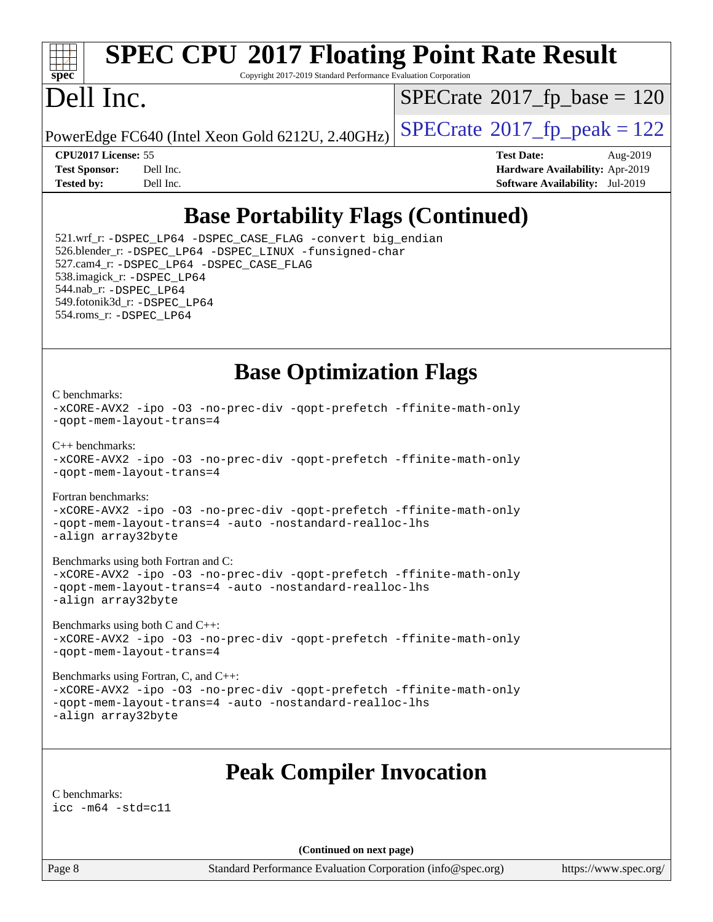

# **[SPEC CPU](http://www.spec.org/auto/cpu2017/Docs/result-fields.html#SPECCPU2017FloatingPointRateResult)[2017 Floating Point Rate Result](http://www.spec.org/auto/cpu2017/Docs/result-fields.html#SPECCPU2017FloatingPointRateResult)**

Copyright 2017-2019 Standard Performance Evaluation Corporation

## Dell Inc.

 $SPECrate$ <sup>®</sup>[2017\\_fp\\_base =](http://www.spec.org/auto/cpu2017/Docs/result-fields.html#SPECrate2017fpbase) 120

PowerEdge FC640 (Intel Xeon Gold 6212U, 2.40GHz)  $\text{SPECrate}^{\otimes}2017$  $\text{SPECrate}^{\otimes}2017$  $\text{SPECrate}^{\otimes}2017$   $\text{fp\_peak} = 122$ 

**[CPU2017 License:](http://www.spec.org/auto/cpu2017/Docs/result-fields.html#CPU2017License)** 55 **[Test Date:](http://www.spec.org/auto/cpu2017/Docs/result-fields.html#TestDate)** Aug-2019 **[Test Sponsor:](http://www.spec.org/auto/cpu2017/Docs/result-fields.html#TestSponsor)** Dell Inc. **[Hardware Availability:](http://www.spec.org/auto/cpu2017/Docs/result-fields.html#HardwareAvailability)** Apr-2019 **[Tested by:](http://www.spec.org/auto/cpu2017/Docs/result-fields.html#Testedby)** Dell Inc. **[Software Availability:](http://www.spec.org/auto/cpu2017/Docs/result-fields.html#SoftwareAvailability)** Jul-2019

### **[Base Portability Flags \(Continued\)](http://www.spec.org/auto/cpu2017/Docs/result-fields.html#BasePortabilityFlags)**

 521.wrf\_r: [-DSPEC\\_LP64](http://www.spec.org/cpu2017/results/res2019q3/cpu2017-20190819-16942.flags.html#suite_basePORTABILITY521_wrf_r_DSPEC_LP64) [-DSPEC\\_CASE\\_FLAG](http://www.spec.org/cpu2017/results/res2019q3/cpu2017-20190819-16942.flags.html#b521.wrf_r_baseCPORTABILITY_DSPEC_CASE_FLAG) [-convert big\\_endian](http://www.spec.org/cpu2017/results/res2019q3/cpu2017-20190819-16942.flags.html#user_baseFPORTABILITY521_wrf_r_convert_big_endian_c3194028bc08c63ac5d04de18c48ce6d347e4e562e8892b8bdbdc0214820426deb8554edfa529a3fb25a586e65a3d812c835984020483e7e73212c4d31a38223) 526.blender\_r: [-DSPEC\\_LP64](http://www.spec.org/cpu2017/results/res2019q3/cpu2017-20190819-16942.flags.html#suite_basePORTABILITY526_blender_r_DSPEC_LP64) [-DSPEC\\_LINUX](http://www.spec.org/cpu2017/results/res2019q3/cpu2017-20190819-16942.flags.html#b526.blender_r_baseCPORTABILITY_DSPEC_LINUX) [-funsigned-char](http://www.spec.org/cpu2017/results/res2019q3/cpu2017-20190819-16942.flags.html#user_baseCPORTABILITY526_blender_r_force_uchar_40c60f00ab013830e2dd6774aeded3ff59883ba5a1fc5fc14077f794d777847726e2a5858cbc7672e36e1b067e7e5c1d9a74f7176df07886a243d7cc18edfe67) 527.cam4\_r: [-DSPEC\\_LP64](http://www.spec.org/cpu2017/results/res2019q3/cpu2017-20190819-16942.flags.html#suite_basePORTABILITY527_cam4_r_DSPEC_LP64) [-DSPEC\\_CASE\\_FLAG](http://www.spec.org/cpu2017/results/res2019q3/cpu2017-20190819-16942.flags.html#b527.cam4_r_baseCPORTABILITY_DSPEC_CASE_FLAG) 538.imagick\_r: [-DSPEC\\_LP64](http://www.spec.org/cpu2017/results/res2019q3/cpu2017-20190819-16942.flags.html#suite_basePORTABILITY538_imagick_r_DSPEC_LP64) 544.nab\_r: [-DSPEC\\_LP64](http://www.spec.org/cpu2017/results/res2019q3/cpu2017-20190819-16942.flags.html#suite_basePORTABILITY544_nab_r_DSPEC_LP64) 549.fotonik3d\_r: [-DSPEC\\_LP64](http://www.spec.org/cpu2017/results/res2019q3/cpu2017-20190819-16942.flags.html#suite_basePORTABILITY549_fotonik3d_r_DSPEC_LP64) 554.roms\_r: [-DSPEC\\_LP64](http://www.spec.org/cpu2017/results/res2019q3/cpu2017-20190819-16942.flags.html#suite_basePORTABILITY554_roms_r_DSPEC_LP64)

#### **[Base Optimization Flags](http://www.spec.org/auto/cpu2017/Docs/result-fields.html#BaseOptimizationFlags)**

#### [C benchmarks](http://www.spec.org/auto/cpu2017/Docs/result-fields.html#Cbenchmarks):

[-xCORE-AVX2](http://www.spec.org/cpu2017/results/res2019q3/cpu2017-20190819-16942.flags.html#user_CCbase_f-xCORE-AVX2) [-ipo](http://www.spec.org/cpu2017/results/res2019q3/cpu2017-20190819-16942.flags.html#user_CCbase_f-ipo) [-O3](http://www.spec.org/cpu2017/results/res2019q3/cpu2017-20190819-16942.flags.html#user_CCbase_f-O3) [-no-prec-div](http://www.spec.org/cpu2017/results/res2019q3/cpu2017-20190819-16942.flags.html#user_CCbase_f-no-prec-div) [-qopt-prefetch](http://www.spec.org/cpu2017/results/res2019q3/cpu2017-20190819-16942.flags.html#user_CCbase_f-qopt-prefetch) [-ffinite-math-only](http://www.spec.org/cpu2017/results/res2019q3/cpu2017-20190819-16942.flags.html#user_CCbase_f_finite_math_only_cb91587bd2077682c4b38af759c288ed7c732db004271a9512da14a4f8007909a5f1427ecbf1a0fb78ff2a814402c6114ac565ca162485bbcae155b5e4258871) [-qopt-mem-layout-trans=4](http://www.spec.org/cpu2017/results/res2019q3/cpu2017-20190819-16942.flags.html#user_CCbase_f-qopt-mem-layout-trans_fa39e755916c150a61361b7846f310bcdf6f04e385ef281cadf3647acec3f0ae266d1a1d22d972a7087a248fd4e6ca390a3634700869573d231a252c784941a8) [C++ benchmarks:](http://www.spec.org/auto/cpu2017/Docs/result-fields.html#CXXbenchmarks) [-xCORE-AVX2](http://www.spec.org/cpu2017/results/res2019q3/cpu2017-20190819-16942.flags.html#user_CXXbase_f-xCORE-AVX2) [-ipo](http://www.spec.org/cpu2017/results/res2019q3/cpu2017-20190819-16942.flags.html#user_CXXbase_f-ipo) [-O3](http://www.spec.org/cpu2017/results/res2019q3/cpu2017-20190819-16942.flags.html#user_CXXbase_f-O3) [-no-prec-div](http://www.spec.org/cpu2017/results/res2019q3/cpu2017-20190819-16942.flags.html#user_CXXbase_f-no-prec-div) [-qopt-prefetch](http://www.spec.org/cpu2017/results/res2019q3/cpu2017-20190819-16942.flags.html#user_CXXbase_f-qopt-prefetch) [-ffinite-math-only](http://www.spec.org/cpu2017/results/res2019q3/cpu2017-20190819-16942.flags.html#user_CXXbase_f_finite_math_only_cb91587bd2077682c4b38af759c288ed7c732db004271a9512da14a4f8007909a5f1427ecbf1a0fb78ff2a814402c6114ac565ca162485bbcae155b5e4258871) [-qopt-mem-layout-trans=4](http://www.spec.org/cpu2017/results/res2019q3/cpu2017-20190819-16942.flags.html#user_CXXbase_f-qopt-mem-layout-trans_fa39e755916c150a61361b7846f310bcdf6f04e385ef281cadf3647acec3f0ae266d1a1d22d972a7087a248fd4e6ca390a3634700869573d231a252c784941a8) [Fortran benchmarks](http://www.spec.org/auto/cpu2017/Docs/result-fields.html#Fortranbenchmarks): [-xCORE-AVX2](http://www.spec.org/cpu2017/results/res2019q3/cpu2017-20190819-16942.flags.html#user_FCbase_f-xCORE-AVX2) [-ipo](http://www.spec.org/cpu2017/results/res2019q3/cpu2017-20190819-16942.flags.html#user_FCbase_f-ipo) [-O3](http://www.spec.org/cpu2017/results/res2019q3/cpu2017-20190819-16942.flags.html#user_FCbase_f-O3) [-no-prec-div](http://www.spec.org/cpu2017/results/res2019q3/cpu2017-20190819-16942.flags.html#user_FCbase_f-no-prec-div) [-qopt-prefetch](http://www.spec.org/cpu2017/results/res2019q3/cpu2017-20190819-16942.flags.html#user_FCbase_f-qopt-prefetch) [-ffinite-math-only](http://www.spec.org/cpu2017/results/res2019q3/cpu2017-20190819-16942.flags.html#user_FCbase_f_finite_math_only_cb91587bd2077682c4b38af759c288ed7c732db004271a9512da14a4f8007909a5f1427ecbf1a0fb78ff2a814402c6114ac565ca162485bbcae155b5e4258871) [-qopt-mem-layout-trans=4](http://www.spec.org/cpu2017/results/res2019q3/cpu2017-20190819-16942.flags.html#user_FCbase_f-qopt-mem-layout-trans_fa39e755916c150a61361b7846f310bcdf6f04e385ef281cadf3647acec3f0ae266d1a1d22d972a7087a248fd4e6ca390a3634700869573d231a252c784941a8) [-auto](http://www.spec.org/cpu2017/results/res2019q3/cpu2017-20190819-16942.flags.html#user_FCbase_f-auto) [-nostandard-realloc-lhs](http://www.spec.org/cpu2017/results/res2019q3/cpu2017-20190819-16942.flags.html#user_FCbase_f_2003_std_realloc_82b4557e90729c0f113870c07e44d33d6f5a304b4f63d4c15d2d0f1fab99f5daaed73bdb9275d9ae411527f28b936061aa8b9c8f2d63842963b95c9dd6426b8a) [-align array32byte](http://www.spec.org/cpu2017/results/res2019q3/cpu2017-20190819-16942.flags.html#user_FCbase_align_array32byte_b982fe038af199962ba9a80c053b8342c548c85b40b8e86eb3cc33dee0d7986a4af373ac2d51c3f7cf710a18d62fdce2948f201cd044323541f22fc0fffc51b6) [Benchmarks using both Fortran and C](http://www.spec.org/auto/cpu2017/Docs/result-fields.html#BenchmarksusingbothFortranandC): [-xCORE-AVX2](http://www.spec.org/cpu2017/results/res2019q3/cpu2017-20190819-16942.flags.html#user_CC_FCbase_f-xCORE-AVX2) [-ipo](http://www.spec.org/cpu2017/results/res2019q3/cpu2017-20190819-16942.flags.html#user_CC_FCbase_f-ipo) [-O3](http://www.spec.org/cpu2017/results/res2019q3/cpu2017-20190819-16942.flags.html#user_CC_FCbase_f-O3) [-no-prec-div](http://www.spec.org/cpu2017/results/res2019q3/cpu2017-20190819-16942.flags.html#user_CC_FCbase_f-no-prec-div) [-qopt-prefetch](http://www.spec.org/cpu2017/results/res2019q3/cpu2017-20190819-16942.flags.html#user_CC_FCbase_f-qopt-prefetch) [-ffinite-math-only](http://www.spec.org/cpu2017/results/res2019q3/cpu2017-20190819-16942.flags.html#user_CC_FCbase_f_finite_math_only_cb91587bd2077682c4b38af759c288ed7c732db004271a9512da14a4f8007909a5f1427ecbf1a0fb78ff2a814402c6114ac565ca162485bbcae155b5e4258871) [-qopt-mem-layout-trans=4](http://www.spec.org/cpu2017/results/res2019q3/cpu2017-20190819-16942.flags.html#user_CC_FCbase_f-qopt-mem-layout-trans_fa39e755916c150a61361b7846f310bcdf6f04e385ef281cadf3647acec3f0ae266d1a1d22d972a7087a248fd4e6ca390a3634700869573d231a252c784941a8) [-auto](http://www.spec.org/cpu2017/results/res2019q3/cpu2017-20190819-16942.flags.html#user_CC_FCbase_f-auto) [-nostandard-realloc-lhs](http://www.spec.org/cpu2017/results/res2019q3/cpu2017-20190819-16942.flags.html#user_CC_FCbase_f_2003_std_realloc_82b4557e90729c0f113870c07e44d33d6f5a304b4f63d4c15d2d0f1fab99f5daaed73bdb9275d9ae411527f28b936061aa8b9c8f2d63842963b95c9dd6426b8a) [-align array32byte](http://www.spec.org/cpu2017/results/res2019q3/cpu2017-20190819-16942.flags.html#user_CC_FCbase_align_array32byte_b982fe038af199962ba9a80c053b8342c548c85b40b8e86eb3cc33dee0d7986a4af373ac2d51c3f7cf710a18d62fdce2948f201cd044323541f22fc0fffc51b6) [Benchmarks using both C and C++](http://www.spec.org/auto/cpu2017/Docs/result-fields.html#BenchmarksusingbothCandCXX): [-xCORE-AVX2](http://www.spec.org/cpu2017/results/res2019q3/cpu2017-20190819-16942.flags.html#user_CC_CXXbase_f-xCORE-AVX2) [-ipo](http://www.spec.org/cpu2017/results/res2019q3/cpu2017-20190819-16942.flags.html#user_CC_CXXbase_f-ipo) [-O3](http://www.spec.org/cpu2017/results/res2019q3/cpu2017-20190819-16942.flags.html#user_CC_CXXbase_f-O3) [-no-prec-div](http://www.spec.org/cpu2017/results/res2019q3/cpu2017-20190819-16942.flags.html#user_CC_CXXbase_f-no-prec-div) [-qopt-prefetch](http://www.spec.org/cpu2017/results/res2019q3/cpu2017-20190819-16942.flags.html#user_CC_CXXbase_f-qopt-prefetch) [-ffinite-math-only](http://www.spec.org/cpu2017/results/res2019q3/cpu2017-20190819-16942.flags.html#user_CC_CXXbase_f_finite_math_only_cb91587bd2077682c4b38af759c288ed7c732db004271a9512da14a4f8007909a5f1427ecbf1a0fb78ff2a814402c6114ac565ca162485bbcae155b5e4258871) [-qopt-mem-layout-trans=4](http://www.spec.org/cpu2017/results/res2019q3/cpu2017-20190819-16942.flags.html#user_CC_CXXbase_f-qopt-mem-layout-trans_fa39e755916c150a61361b7846f310bcdf6f04e385ef281cadf3647acec3f0ae266d1a1d22d972a7087a248fd4e6ca390a3634700869573d231a252c784941a8) [Benchmarks using Fortran, C, and C++:](http://www.spec.org/auto/cpu2017/Docs/result-fields.html#BenchmarksusingFortranCandCXX) [-xCORE-AVX2](http://www.spec.org/cpu2017/results/res2019q3/cpu2017-20190819-16942.flags.html#user_CC_CXX_FCbase_f-xCORE-AVX2) [-ipo](http://www.spec.org/cpu2017/results/res2019q3/cpu2017-20190819-16942.flags.html#user_CC_CXX_FCbase_f-ipo) [-O3](http://www.spec.org/cpu2017/results/res2019q3/cpu2017-20190819-16942.flags.html#user_CC_CXX_FCbase_f-O3) [-no-prec-div](http://www.spec.org/cpu2017/results/res2019q3/cpu2017-20190819-16942.flags.html#user_CC_CXX_FCbase_f-no-prec-div) [-qopt-prefetch](http://www.spec.org/cpu2017/results/res2019q3/cpu2017-20190819-16942.flags.html#user_CC_CXX_FCbase_f-qopt-prefetch) [-ffinite-math-only](http://www.spec.org/cpu2017/results/res2019q3/cpu2017-20190819-16942.flags.html#user_CC_CXX_FCbase_f_finite_math_only_cb91587bd2077682c4b38af759c288ed7c732db004271a9512da14a4f8007909a5f1427ecbf1a0fb78ff2a814402c6114ac565ca162485bbcae155b5e4258871) [-qopt-mem-layout-trans=4](http://www.spec.org/cpu2017/results/res2019q3/cpu2017-20190819-16942.flags.html#user_CC_CXX_FCbase_f-qopt-mem-layout-trans_fa39e755916c150a61361b7846f310bcdf6f04e385ef281cadf3647acec3f0ae266d1a1d22d972a7087a248fd4e6ca390a3634700869573d231a252c784941a8) [-auto](http://www.spec.org/cpu2017/results/res2019q3/cpu2017-20190819-16942.flags.html#user_CC_CXX_FCbase_f-auto) [-nostandard-realloc-lhs](http://www.spec.org/cpu2017/results/res2019q3/cpu2017-20190819-16942.flags.html#user_CC_CXX_FCbase_f_2003_std_realloc_82b4557e90729c0f113870c07e44d33d6f5a304b4f63d4c15d2d0f1fab99f5daaed73bdb9275d9ae411527f28b936061aa8b9c8f2d63842963b95c9dd6426b8a) [-align array32byte](http://www.spec.org/cpu2017/results/res2019q3/cpu2017-20190819-16942.flags.html#user_CC_CXX_FCbase_align_array32byte_b982fe038af199962ba9a80c053b8342c548c85b40b8e86eb3cc33dee0d7986a4af373ac2d51c3f7cf710a18d62fdce2948f201cd044323541f22fc0fffc51b6)

#### **[Peak Compiler Invocation](http://www.spec.org/auto/cpu2017/Docs/result-fields.html#PeakCompilerInvocation)**

[C benchmarks](http://www.spec.org/auto/cpu2017/Docs/result-fields.html#Cbenchmarks): [icc -m64 -std=c11](http://www.spec.org/cpu2017/results/res2019q3/cpu2017-20190819-16942.flags.html#user_CCpeak_intel_icc_64bit_c11_33ee0cdaae7deeeab2a9725423ba97205ce30f63b9926c2519791662299b76a0318f32ddfffdc46587804de3178b4f9328c46fa7c2b0cd779d7a61945c91cd35)

**(Continued on next page)**

Page 8 Standard Performance Evaluation Corporation [\(info@spec.org\)](mailto:info@spec.org) <https://www.spec.org/>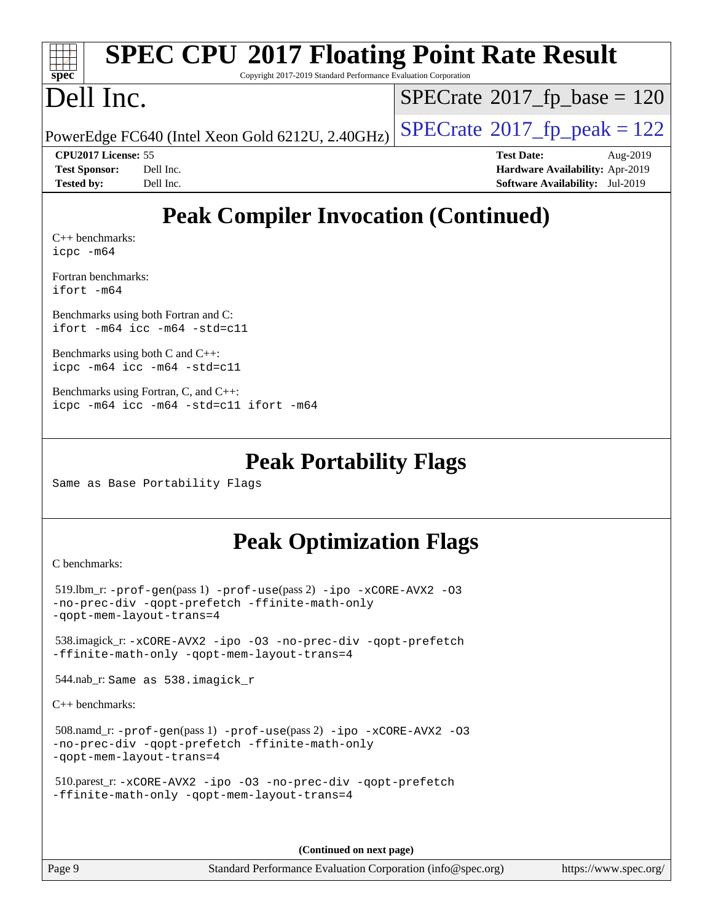| <b>SPEC CPU®2017 Floating Point Rate Result</b><br>spec <sup>®</sup><br>Copyright 2017-2019 Standard Performance Evaluation Corporation |                                            |  |  |  |
|-----------------------------------------------------------------------------------------------------------------------------------------|--------------------------------------------|--|--|--|
| Dell Inc.                                                                                                                               | $SPECrate^{\circ}2017_fp\_base = 120$      |  |  |  |
| PowerEdge FC640 (Intel Xeon Gold 6212U, 2.40GHz)                                                                                        | $SPECTate$ <sup>®</sup> 2017_fp_peak = 122 |  |  |  |
| CPU2017 License: 55                                                                                                                     | <b>Test Date:</b><br>Aug-2019              |  |  |  |
| <b>Test Sponsor:</b><br>Dell Inc.                                                                                                       | Hardware Availability: Apr-2019            |  |  |  |
| <b>Tested by:</b><br>Dell Inc.                                                                                                          | <b>Software Availability:</b> Jul-2019     |  |  |  |
| <b>Peak Compiler Invocation (Continued)</b><br>$C_{++}$ benchmarks:<br>$icpc$ $-m64$                                                    |                                            |  |  |  |
| Fortran benchmarks:<br>$ifort$ $-m64$                                                                                                   |                                            |  |  |  |
| Benchmarks using both Fortran and C:<br>ifort -m64 icc -m64 -std=c11                                                                    |                                            |  |  |  |

[Benchmarks using both C and C++](http://www.spec.org/auto/cpu2017/Docs/result-fields.html#BenchmarksusingbothCandCXX): [icpc -m64](http://www.spec.org/cpu2017/results/res2019q3/cpu2017-20190819-16942.flags.html#user_CC_CXXpeak_intel_icpc_64bit_4ecb2543ae3f1412ef961e0650ca070fec7b7afdcd6ed48761b84423119d1bf6bdf5cad15b44d48e7256388bc77273b966e5eb805aefd121eb22e9299b2ec9d9) [icc -m64 -std=c11](http://www.spec.org/cpu2017/results/res2019q3/cpu2017-20190819-16942.flags.html#user_CC_CXXpeak_intel_icc_64bit_c11_33ee0cdaae7deeeab2a9725423ba97205ce30f63b9926c2519791662299b76a0318f32ddfffdc46587804de3178b4f9328c46fa7c2b0cd779d7a61945c91cd35)

[Benchmarks using Fortran, C, and C++:](http://www.spec.org/auto/cpu2017/Docs/result-fields.html#BenchmarksusingFortranCandCXX) [icpc -m64](http://www.spec.org/cpu2017/results/res2019q3/cpu2017-20190819-16942.flags.html#user_CC_CXX_FCpeak_intel_icpc_64bit_4ecb2543ae3f1412ef961e0650ca070fec7b7afdcd6ed48761b84423119d1bf6bdf5cad15b44d48e7256388bc77273b966e5eb805aefd121eb22e9299b2ec9d9) [icc -m64 -std=c11](http://www.spec.org/cpu2017/results/res2019q3/cpu2017-20190819-16942.flags.html#user_CC_CXX_FCpeak_intel_icc_64bit_c11_33ee0cdaae7deeeab2a9725423ba97205ce30f63b9926c2519791662299b76a0318f32ddfffdc46587804de3178b4f9328c46fa7c2b0cd779d7a61945c91cd35) [ifort -m64](http://www.spec.org/cpu2017/results/res2019q3/cpu2017-20190819-16942.flags.html#user_CC_CXX_FCpeak_intel_ifort_64bit_24f2bb282fbaeffd6157abe4f878425411749daecae9a33200eee2bee2fe76f3b89351d69a8130dd5949958ce389cf37ff59a95e7a40d588e8d3a57e0c3fd751)

#### **[Peak Portability Flags](http://www.spec.org/auto/cpu2017/Docs/result-fields.html#PeakPortabilityFlags)**

Same as Base Portability Flags

#### **[Peak Optimization Flags](http://www.spec.org/auto/cpu2017/Docs/result-fields.html#PeakOptimizationFlags)**

[C benchmarks](http://www.spec.org/auto/cpu2017/Docs/result-fields.html#Cbenchmarks):

```
519.-prof-gen-prof-use-ipo-xCORE-AVX2 -03
-no-prec-div -qopt-prefetch -ffinite-math-only
-qopt-mem-layout-trans=4
 538.imagick_r: -xCORE-AVX2 -ipo -O3 -no-prec-div -qopt-prefetch
-ffinite-math-only -qopt-mem-layout-trans=4
 544.nab_r: Same as 538.imagick_r
C++ benchmarks: 
 508.namd_r: -prof-gen(pass 1) -prof-use(pass 2) -ipo -xCORE-AVX2 -O3
-no-prec-div -qopt-prefetch -ffinite-math-only
-qopt-mem-layout-trans=4
 510.parest_r: -xCORE-AVX2 -ipo -O3 -no-prec-div -qopt-prefetch
-ffinite-math-only -qopt-mem-layout-trans=4
```
**(Continued on next page)**

Page 9 Standard Performance Evaluation Corporation [\(info@spec.org\)](mailto:info@spec.org) <https://www.spec.org/>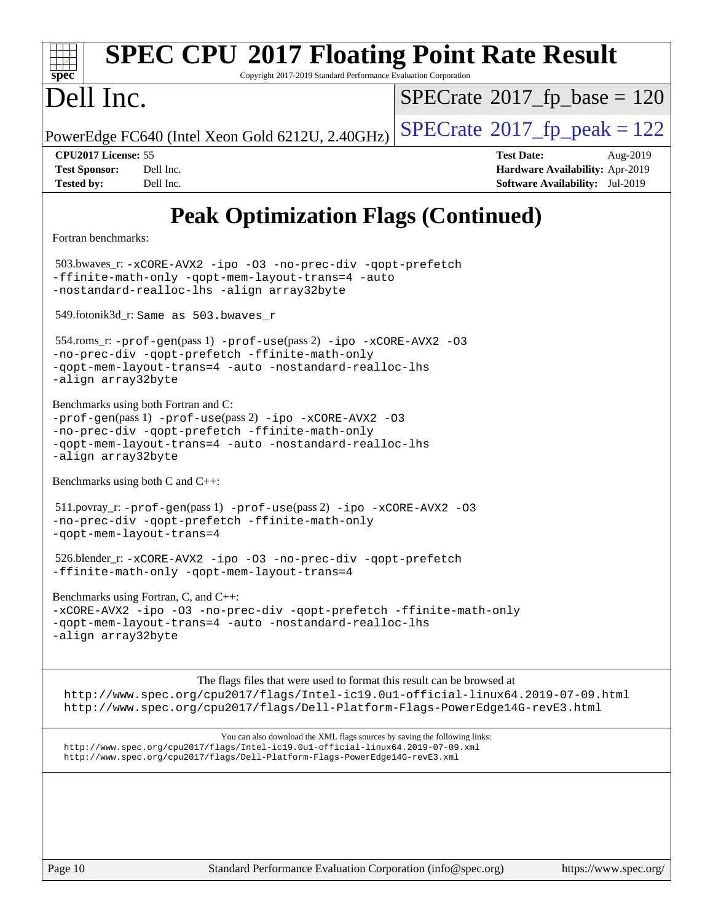| <b>SPEC CPU®2017 Floating Point Rate Result</b><br>Copyright 2017-2019 Standard Performance Evaluation Corporation<br>spec                                                                                                                     |                                                                                                            |  |  |  |  |  |
|------------------------------------------------------------------------------------------------------------------------------------------------------------------------------------------------------------------------------------------------|------------------------------------------------------------------------------------------------------------|--|--|--|--|--|
| Dell Inc.                                                                                                                                                                                                                                      | $SPECrate^{\circ}2017$ fp base = 120                                                                       |  |  |  |  |  |
| PowerEdge FC640 (Intel Xeon Gold 6212U, 2.40GHz)                                                                                                                                                                                               | $SPECTate@2017fr peak = 122$                                                                               |  |  |  |  |  |
| CPU2017 License: 55<br>Dell Inc.<br><b>Test Sponsor:</b><br>Dell Inc.<br><b>Tested by:</b>                                                                                                                                                     | <b>Test Date:</b><br>Aug-2019<br>Hardware Availability: Apr-2019<br><b>Software Availability:</b> Jul-2019 |  |  |  |  |  |
| <b>Peak Optimization Flags (Continued)</b>                                                                                                                                                                                                     |                                                                                                            |  |  |  |  |  |
| Fortran benchmarks:                                                                                                                                                                                                                            |                                                                                                            |  |  |  |  |  |
| 503.bwaves_r: -xCORE-AVX2 -ipo -03 -no-prec-div -qopt-prefetch<br>-ffinite-math-only -qopt-mem-layout-trans=4 -auto<br>-nostandard-realloc-lhs -align array32byte                                                                              |                                                                                                            |  |  |  |  |  |
| 549.fotonik3d_r: Same as 503.bwaves_r                                                                                                                                                                                                          |                                                                                                            |  |  |  |  |  |
| $554$ .roms_r: -prof-gen(pass 1) -prof-use(pass 2) -ipo -xCORE-AVX2 -03<br>-no-prec-div -qopt-prefetch -ffinite-math-only<br>-gopt-mem-layout-trans=4 -auto -nostandard-realloc-lhs<br>-align array32byte                                      |                                                                                                            |  |  |  |  |  |
| Benchmarks using both Fortran and C:<br>-prof-gen(pass 1) -prof-use(pass 2) -ipo -xCORE-AVX2 -03<br>-no-prec-div -qopt-prefetch -ffinite-math-only<br>-qopt-mem-layout-trans=4 -auto -nostandard-realloc-lhs<br>-align array32byte             |                                                                                                            |  |  |  |  |  |
| Benchmarks using both C and C++:                                                                                                                                                                                                               |                                                                                                            |  |  |  |  |  |
| -no-prec-div -qopt-prefetch -ffinite-math-only<br>-qopt-mem-layout-trans=4                                                                                                                                                                     | $511.1$ povray_r: -prof-gen(pass 1) -prof-use(pass 2) -ipo -xCORE-AVX2 -03                                 |  |  |  |  |  |
| 526.blender_r:-xCORE-AVX2 -ipo -03 -no-prec-div -qopt-prefetch<br>-ffinite-math-only -qopt-mem-layout-trans=4                                                                                                                                  |                                                                                                            |  |  |  |  |  |
| Benchmarks using Fortran, C, and C++:<br>-xCORE-AVX2 -ipo -03 -no-prec-div -qopt-prefetch -ffinite-math-only<br>-qopt-mem-layout-trans=4 -auto -nostandard-realloc-lhs<br>-align array32byte                                                   |                                                                                                            |  |  |  |  |  |
| The flags files that were used to format this result can be browsed at<br>http://www.spec.org/cpu2017/flags/Intel-ic19.0ul-official-linux64.2019-07-09.html<br>http://www.spec.org/cpu2017/flags/Dell-Platform-Flags-PowerEdge14G-revE3.html   |                                                                                                            |  |  |  |  |  |
| You can also download the XML flags sources by saving the following links:<br>http://www.spec.org/cpu2017/flags/Intel-ic19.0ul-official-linux64.2019-07-09.xml<br>http://www.spec.org/cpu2017/flags/Dell-Platform-Flags-PowerEdge14G-revE3.xml |                                                                                                            |  |  |  |  |  |